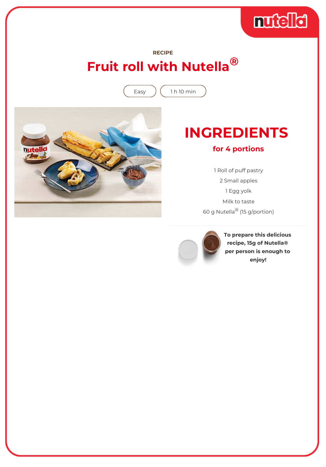

### **RECIPE Fruit roll with Nutella®**

Easy  $\int (1 h 10 min$ 



# **INGREDIENTS**

#### **for 4 portions**

1 Roll of puff pastry 2 Small apples 1 Egg yolk Milk to taste 60 g Nutella® (15 g/portion)



**To prepare this delicious recipe, 15g of Nutella® per person is enough to enjoy!**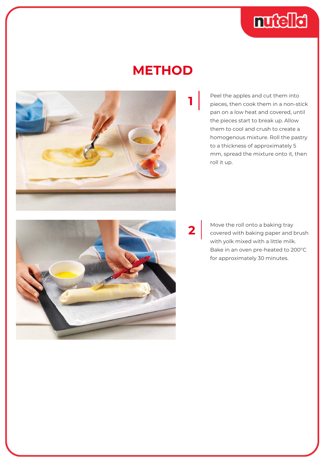

## **METHOD**



Peel the apples and cut them into pieces, then cook them in a non-stick pan on a low heat and covered, until the pieces start to break up. Allow them to cool and crush to create a homogenous mixture. Roll the pastry to a thickness of approximately 5 mm, spread the mixture onto it, then roll it up.

**2**

Move the roll onto a baking tray covered with baking paper and brush with yolk mixed with a little milk. Bake in an oven pre-heated to 200°C for approximately 30 minutes.